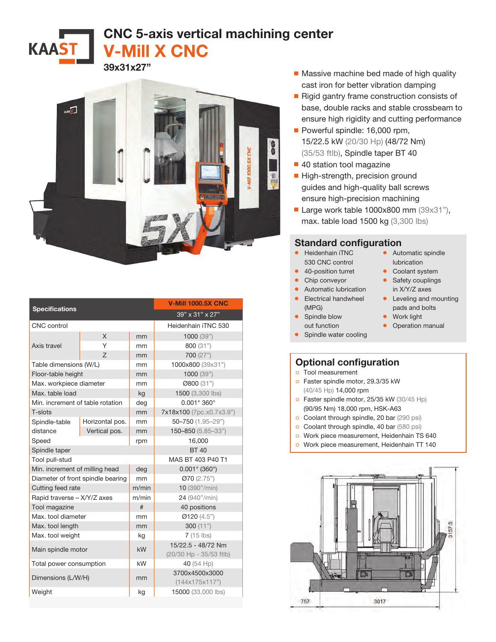CNC 5-axis vertical machining center V-Mill X CNC



39x31x27"

**KAAST** 

|                                   |                 | <b>V-Mill 1000.5X CNC</b> |                             |
|-----------------------------------|-----------------|---------------------------|-----------------------------|
| <b>Specifications</b>             |                 | 39" x 31" x 27"           |                             |
| CNC control                       |                 |                           | Heidenhain iTNC 530         |
| Axis travel                       | X               | mm                        | 1000(39")                   |
|                                   | Υ               | mm                        | 800 (31")                   |
|                                   | Z               | mm                        | 700 (27")                   |
| Table dimensions (W/L)            |                 | mm                        | 1000x800 (39x31")           |
| Floor-table height                |                 | mm                        | 1000(39")                   |
| Max. workpiece diameter           |                 | mm                        | Ø800 (31")                  |
| Max. table load                   |                 | kg                        | 1500 (3,300 lbs)            |
| Min. increment of table rotation  |                 | deg                       | $0.001^{\circ} 360^{\circ}$ |
| T-slots                           |                 | mm                        | 7x18x100 (7pc.x0.7x3.9")    |
| Spindle-table                     | Horizontal pos. | mm                        | $50 - 750$ (1.95-29")       |
| distance                          | Vertical pos.   | mm                        | 150-850 (5.85-33")          |
| Speed                             |                 | rpm                       | 16,000                      |
| Spindle taper                     |                 |                           | <b>BT40</b>                 |
| Tool pull-stud                    |                 |                           | MAS BT 403 P40 T1           |
| Min. increment of milling head    |                 | deg                       | $0.001^{\circ}$ (360°)      |
| Diameter of front spindle bearing |                 | mm                        | Ø70 (2.75")                 |
| Cutting feed rate                 |                 | m/min                     | 10 (390"/min)               |
| Rapid traverse - X/Y/Z axes       |                 | m/min                     | 24 (940"/min)               |
| Tool magazine                     |                 | #                         | 40 positions                |
| Max, tool diameter                |                 | mm                        | Ø120(4.5")                  |
| Max. tool length                  |                 | mm                        | 300 $(11")$                 |
| Max. tool weight                  |                 | kg                        | $7(15$ lbs)                 |
| Main spindle motor                |                 | kW                        | 15/22.5 - 48/72 Nm          |
|                                   |                 |                           | (20/30 Hp - 35/53 ftlb)     |
| Total power consumption           |                 | kW                        | 40 (54 Hp)                  |
| Dimensions (L/W/H)                |                 | mm                        | 3700x4500x3000              |
|                                   |                 |                           | (144x175x117")              |
| Weight                            |                 | kg                        | 15000 (33,000 lbs)          |

- Massive machine bed made of high quality cast iron for better vibration damping
- Rigid gantry frame construction consists of base, double racks and stable crossbeam to ensure high rigidity and cutting performance
- Powerful spindle: 16,000 rpm, 15/22.5 kW (20/30 Hp) (48/72 Nm) (35/53 ftlb), Spindle taper BT 40
- 40 station tool magazine
- High-strength, precision ground guides and high-quality ball screws ensure high-precision machining
- Large work table 1000x800 mm (39x31"), max. table load 1500 kg (3,300 lbs)

## Standard configuration

- Heidenhain iTNC 530 CNC control
- 40-position turret
- Chip conveyor
- Automatic lubrication • Electrical handwheel (MPG)
- Spindle blow out function
- Spindle water cooling

## Optional configuration

- ੦ Tool measurement
- ੦ Faster spindle motor, 29.3/35 kW (40/45 Hp) 14,000 rpm
- ੦ Faster spindle motor, 25/35 kW (30/45 Hp) (90/95 Nm) 18,000 rpm, HSK-A63
- o Coolant through spindle, 20 bar (290 psi)
- o Coolant through spindle, 40 bar (580 psi)
- ੦ Work piece measurement, Heidenhain TS 640
- ੦ Work piece measurement, Heidenhain TT 140



- lubrication • Coolant system • Safety couplings
	- in X/Y/Z axes

• Automatic spindle

- Leveling and mounting pads and bolts
- Work light
- Operation manual